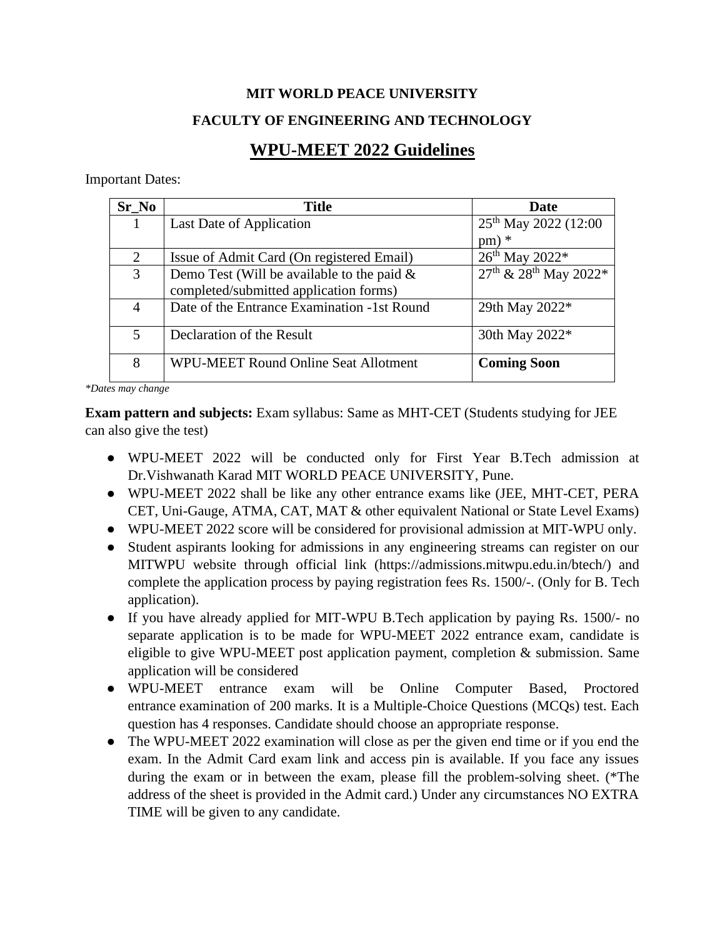## **MIT WORLD PEACE UNIVERSITY FACULTY OF ENGINEERING AND TECHNOLOGY**

## **WPU-MEET 2022 Guidelines**

Important Dates:

| $Sr_N$ | <b>Title</b>                                  | Date                                             |
|--------|-----------------------------------------------|--------------------------------------------------|
|        | Last Date of Application                      | 25 <sup>th</sup> May 2022 (12:00                 |
|        |                                               | $pm)$ *                                          |
| 2      | Issue of Admit Card (On registered Email)     | $26^{th}$ May $2022*$                            |
| 3      | Demo Test (Will be available to the paid $\&$ | $27^{\text{th}}$ & $28^{\text{th}}$ May $2022^*$ |
|        | completed/submitted application forms)        |                                                  |
| 4      | Date of the Entrance Examination -1st Round   | 29th May 2022*                                   |
| 5      | Declaration of the Result                     | 30th May 2022*                                   |
| 8      | <b>WPU-MEET Round Online Seat Allotment</b>   | <b>Coming Soon</b>                               |

*\*Dates may change*

**Exam pattern and subjects:** Exam syllabus: Same as MHT-CET (Students studying for JEE can also give the test)

- WPU-MEET 2022 will be conducted only for First Year B.Tech admission at Dr.Vishwanath Karad MIT WORLD PEACE UNIVERSITY, Pune.
- WPU-MEET 2022 shall be like any other entrance exams like (JEE, MHT-CET, PERA CET, Uni-Gauge, ATMA, CAT, MAT & other equivalent National or State Level Exams)
- WPU-MEET 2022 score will be considered for provisional admission at MIT-WPU only.
- Student aspirants looking for admissions in any engineering streams can register on our MITWPU website through official link (https://admissions.mitwpu.edu.in/btech/) and complete the application process by paying registration fees Rs. 1500/-. (Only for B. Tech application).
- If you have already applied for MIT-WPU B.Tech application by paying Rs. 1500/- no separate application is to be made for WPU-MEET 2022 entrance exam, candidate is eligible to give WPU-MEET post application payment, completion & submission. Same application will be considered
- WPU-MEET entrance exam will be Online Computer Based, Proctored entrance examination of 200 marks. It is a Multiple-Choice Questions (MCQs) test. Each question has 4 responses. Candidate should choose an appropriate response.
- The WPU-MEET 2022 examination will close as per the given end time or if you end the exam. In the Admit Card exam link and access pin is available. If you face any issues during the exam or in between the exam, please fill the problem-solving sheet. (\*The address of the sheet is provided in the Admit card.) Under any circumstances NO EXTRA TIME will be given to any candidate.